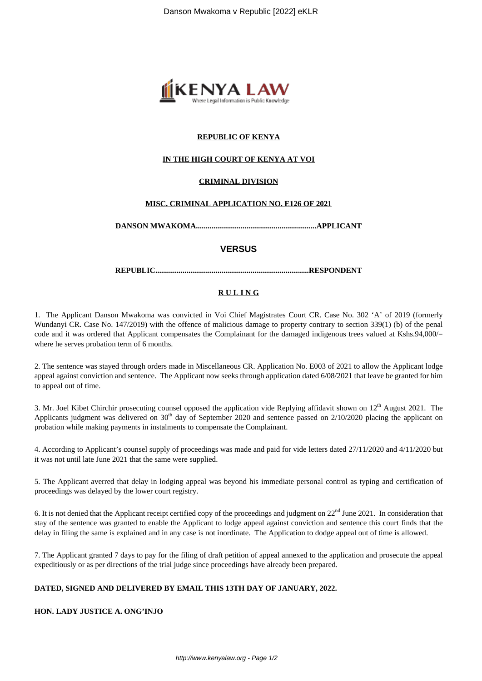

### **REPUBLIC OF KENYA**

#### **IN THE HIGH COURT OF KENYA AT VOI**

#### **CRIMINAL DIVISION**

#### **MISC. CRIMINAL APPLICATION NO. E126 OF 2021**

**DANSON MWAKOMA..............................................................APPLICANT**

#### **VERSUS**

**REPUBLIC...............................................................................RESPONDENT**

#### **R U L I N G**

1. The Applicant Danson Mwakoma was convicted in Voi Chief Magistrates Court CR. Case No. 302 'A' of 2019 (formerly Wundanyi CR. Case No. 147/2019) with the offence of malicious damage to property contrary to section 339(1) (b) of the penal code and it was ordered that Applicant compensates the Complainant for the damaged indigenous trees valued at Kshs.94,000/= where he serves probation term of 6 months.

2. The sentence was stayed through orders made in Miscellaneous CR. Application No. E003 of 2021 to allow the Applicant lodge appeal against conviction and sentence. The Applicant now seeks through application dated 6/08/2021 that leave be granted for him to appeal out of time.

3. Mr. Joel Kibet Chirchir prosecuting counsel opposed the application vide Replying affidavit shown on 12<sup>th</sup> August 2021. The Applicants judgment was delivered on  $30<sup>th</sup>$  day of September 2020 and sentence passed on  $2/10/2020$  placing the applicant on probation while making payments in instalments to compensate the Complainant.

4. According to Applicant's counsel supply of proceedings was made and paid for vide letters dated 27/11/2020 and 4/11/2020 but it was not until late June 2021 that the same were supplied.

5. The Applicant averred that delay in lodging appeal was beyond his immediate personal control as typing and certification of proceedings was delayed by the lower court registry.

6. It is not denied that the Applicant receipt certified copy of the proceedings and judgment on  $22<sup>nd</sup>$  June 2021. In consideration that stay of the sentence was granted to enable the Applicant to lodge appeal against conviction and sentence this court finds that the delay in filing the same is explained and in any case is not inordinate. The Application to dodge appeal out of time is allowed.

7. The Applicant granted 7 days to pay for the filing of draft petition of appeal annexed to the application and prosecute the appeal expeditiously or as per directions of the trial judge since proceedings have already been prepared.

#### **DATED, SIGNED AND DELIVERED BY EMAIL THIS 13TH DAY OF JANUARY, 2022.**

#### **HON. LADY JUSTICE A. ONG'INJO**